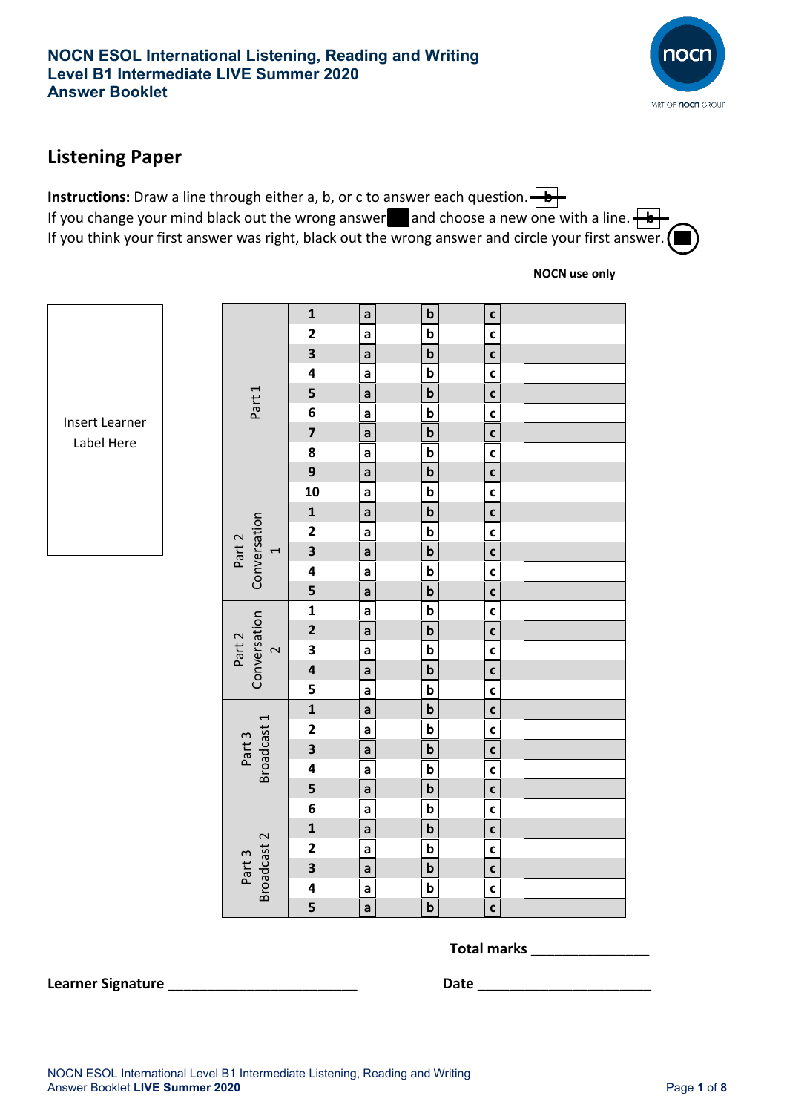

# **Listening Paper**

**Instructions:** Draw a line through either a, b, or c to answer each question.  $\overline{\mathbf{b}}$ If you change your mind black out the wrong answer and choose a new one with a line.  $\overline{+b+}$ If you think your first answer was right, black out the wrong answer and circle your first answer.

|                                     |  |                                                    | $\mathbf 1$             | a            | $\mathbf b$               | $\mathbf c$              |                   |  |
|-------------------------------------|--|----------------------------------------------------|-------------------------|--------------|---------------------------|--------------------------|-------------------|--|
| <b>Insert Learner</b><br>Label Here |  | Part 1                                             | $\overline{\mathbf{c}}$ | $\mathsf a$  | $\mathbf b$               | $\overline{\mathbf{c}}$  |                   |  |
|                                     |  |                                                    | 3                       | $\mathsf{a}$ | $\mathbf b$               | $\overline{\phantom{a}}$ |                   |  |
|                                     |  |                                                    | 4                       | a            | $\overline{\mathbf{b}}$   | $\overline{\mathbf{c}}$  |                   |  |
|                                     |  |                                                    | 5                       | $\mathsf{a}$ | $\overline{\mathbf{b}}$   | $\overline{\mathbf{c}}$  |                   |  |
|                                     |  |                                                    | $\boldsymbol{6}$        | $\mathsf a$  | $\bold{b}$                | $\mathbf c$              |                   |  |
|                                     |  |                                                    | $\overline{\mathbf{z}}$ | a            | $\mathbf b$               | $\mathbf c$              |                   |  |
|                                     |  |                                                    | 8                       | $\mathsf{a}$ | $\bold{b}$                | $\mathbf c$              |                   |  |
|                                     |  |                                                    | 9                       | $\mathsf a$  | $\bold{b}$                | $\mathbf c$              |                   |  |
|                                     |  |                                                    | 10                      | a            | $\bold{b}$                | $\mathbf c$              |                   |  |
|                                     |  |                                                    | $\mathbf 1$             | $\mathsf a$  | $\bold{b}$                | $\mathbf c$              |                   |  |
|                                     |  |                                                    | $\mathbf 2$             | $\mathsf a$  | $\bold{b}$                | $\mathbf c$              |                   |  |
|                                     |  | Part 2<br>Conversation<br>$\overline{\phantom{0}}$ | $\overline{\mathbf{3}}$ | $\mathsf{a}$ | $\boldsymbol{\mathsf{b}}$ | $\mathbf c$              |                   |  |
|                                     |  |                                                    | 4                       | a            | $\bold{b}$                | $\mathbf c$              |                   |  |
|                                     |  | Part 2<br>Conversation<br>$\overline{\mathbf{C}}$  | 5                       | $\mathsf{a}$ | $\bold{b}$                | $\overline{\mathbf{c}}$  |                   |  |
|                                     |  |                                                    | $\mathbf{1}$            | $\mathsf a$  | $\boldsymbol{\mathsf{b}}$ | $\mathbf c$              |                   |  |
|                                     |  |                                                    | $\overline{\mathbf{c}}$ | $\mathsf a$  | $\mathbf b$               | $rac{c}{c}$              |                   |  |
|                                     |  |                                                    | 3                       | a            | $\boldsymbol{\mathsf{b}}$ |                          |                   |  |
|                                     |  |                                                    | $\overline{\mathbf{4}}$ | $\mathsf{a}$ | $\boldsymbol{\mathsf{b}}$ | $\mathbf c$              |                   |  |
|                                     |  |                                                    | 5                       | a            | $\mathbf b$               | $\mathbf c$              |                   |  |
|                                     |  |                                                    | $\overline{\mathbf{1}}$ | $\mathsf a$  | $\boldsymbol{\mathsf{b}}$ | $\overline{\mathbf{c}}$  |                   |  |
|                                     |  |                                                    | $\mathbf{2}$            | $\mathsf a$  | $\bold{b}$                | $\mathbf c$              |                   |  |
|                                     |  |                                                    | $\overline{\mathbf{3}}$ | $\mathsf{a}$ | $\overline{\mathbf{b}}$   | $rac{c}{c}$              |                   |  |
|                                     |  | Part 3<br>Broadcast 1                              | 4                       | $\mathsf a$  | $\overline{\mathbf{b}}$   |                          |                   |  |
|                                     |  |                                                    | 5                       | $\mathsf{a}$ | $\bold{b}$                | $\overline{\mathbf{c}}$  |                   |  |
|                                     |  |                                                    | $\bf 6$                 | a            | $\overline{\mathbf{b}}$   | $\overline{\mathbf{c}}$  |                   |  |
|                                     |  |                                                    | $\mathbf{1}$            | $\mathsf a$  | $\boldsymbol{\mathsf{b}}$ | $\overline{\mathbf{c}}$  |                   |  |
|                                     |  |                                                    | $\mathbf{2}$            | $\mathsf a$  | $\overline{\mathbf{b}}$   | $\mathbf c$              |                   |  |
|                                     |  | Part 3<br>Broadcast 2                              | $\overline{\mathbf{3}}$ | $\mathsf a$  | $\bold{b}$                | $rac{c}{c}$              |                   |  |
|                                     |  |                                                    | $\overline{\mathbf{4}}$ | a            | $\overline{\mathbf{b}}$   |                          |                   |  |
|                                     |  |                                                    | 5                       | $\mathsf{a}$ | $\overline{\mathbf{b}}$   | $\overline{\mathbf{c}}$  |                   |  |
|                                     |  |                                                    |                         |              |                           |                          | Total marks _____ |  |
| Learner Signature                   |  |                                                    |                         |              | Date                      |                          |                   |  |

 **NOCN use only**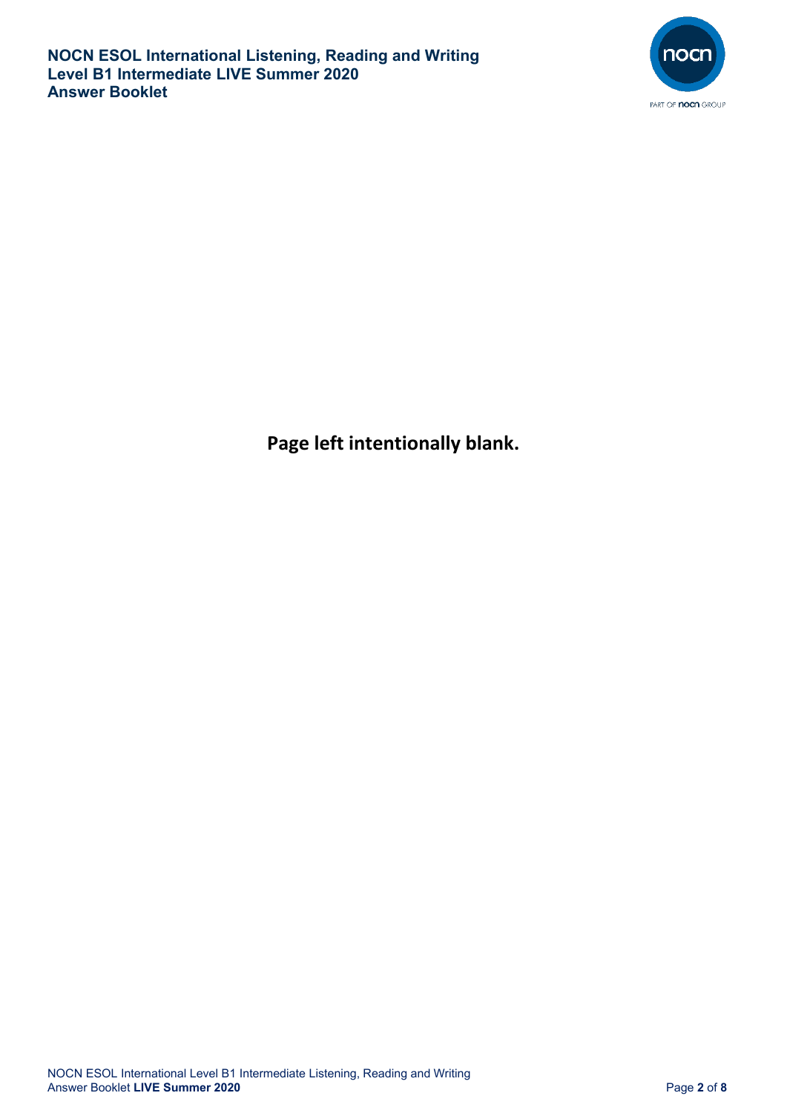

**Page left intentionally blank.**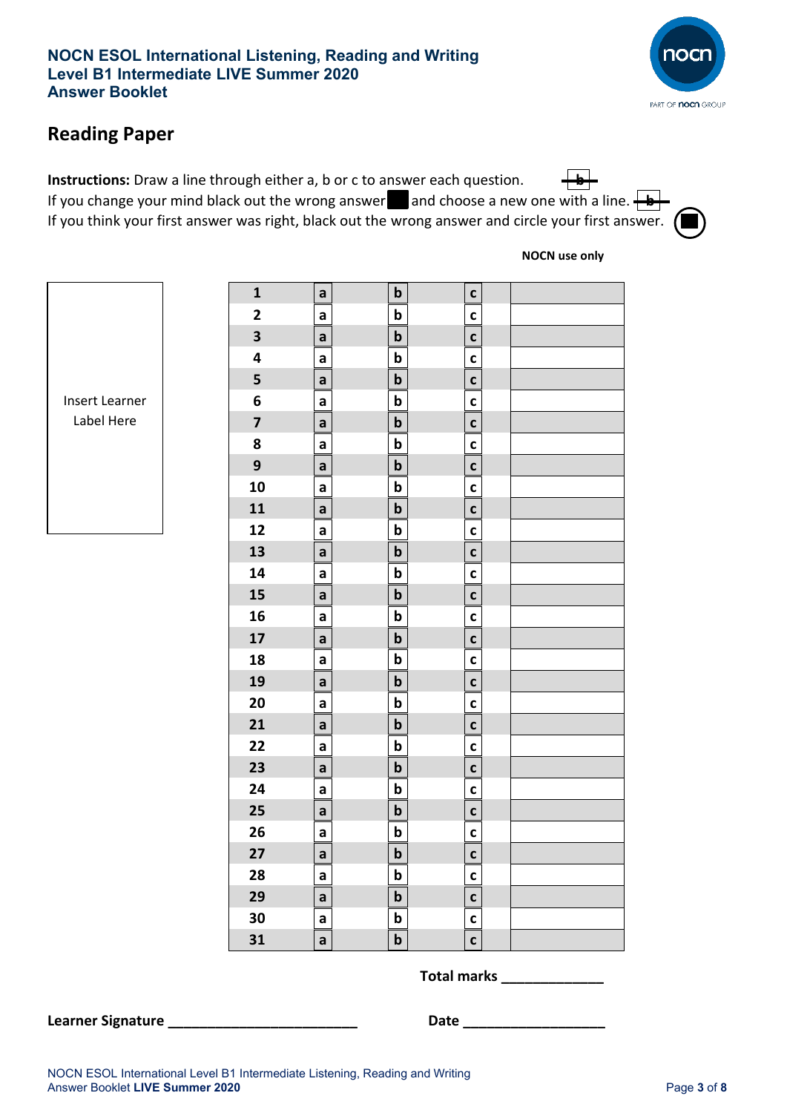

# **Reading Paper**

**Instructions:** Draw a line through either a, b or c to answer each question. –**b-**If you change your mind black out the wrong answer and choose a new one with a line.  $\overline{+b}$ If you think your first answer was right, black out the wrong answer and circle your first answer.

#### **NOCN use only**

| $\mathbf{1}$            | a | $\mathbf b$               | C            |  |
|-------------------------|---|---------------------------|--------------|--|
| $\overline{\mathbf{2}}$ | a | $\mathbf b$               | $\mathbf{C}$ |  |
| 3                       | a | $\mathbf b$               | $\mathbf c$  |  |
| 4                       | a | b                         | $\mathbf c$  |  |
| 5                       | a | $\mathbf b$               | $\mathbf c$  |  |
| 6                       | a | $\mathbf b$               | C            |  |
| $\overline{\mathbf{z}}$ | a | b                         | C            |  |
| 8                       | a | $\mathbf b$               | C            |  |
| 9                       | a | $\mathbf b$               | $\mathbf{C}$ |  |
| 10                      | a | $\mathbf b$               | $\mathbf c$  |  |
| 11                      | a | $\mathbf b$               | C            |  |
| 12                      | a | b                         | C            |  |
| 13                      | a | b                         | $\mathbf c$  |  |
| 14                      | a | $\mathbf b$               | C            |  |
| 15                      | a | $\mathbf b$               | C            |  |
| 16                      | a | b                         | C            |  |
| 17                      | a | $\mathbf b$               | $\mathbf c$  |  |
| 18                      | a | $\boldsymbol{\mathsf{b}}$ | $\mathbf c$  |  |
| 19                      | a | $\mathbf b$               | $\mathbf c$  |  |
| 20                      | a | $\mathbf b$               | C            |  |
| 21                      | a | b                         | $\mathbf c$  |  |
| 22                      | a | $\mathbf b$               | $\mathbf{C}$ |  |
| 23                      | a | $\mathbf b$               | $\mathbf c$  |  |
| 24                      | a | $\mathbf b$               | C            |  |
| 25                      | a | $\mathbf b$               | $\mathbf{C}$ |  |
| 26                      | a | b                         | $\mathbf{C}$ |  |
| 27                      | a | b                         | C            |  |
| 28                      | a | b                         | C            |  |
| 29                      | a | $\mathbf b$               | $\mathbf c$  |  |
| 30                      | a | $\mathbf b$               | C            |  |
| 31                      | a | $\mathbf b$               | $\mathbf c$  |  |

Insert Learner Label Here

**Total marks \_\_\_\_\_\_\_\_\_\_\_\_\_**

**Learner Signature Learner Signature** *Learner Signature*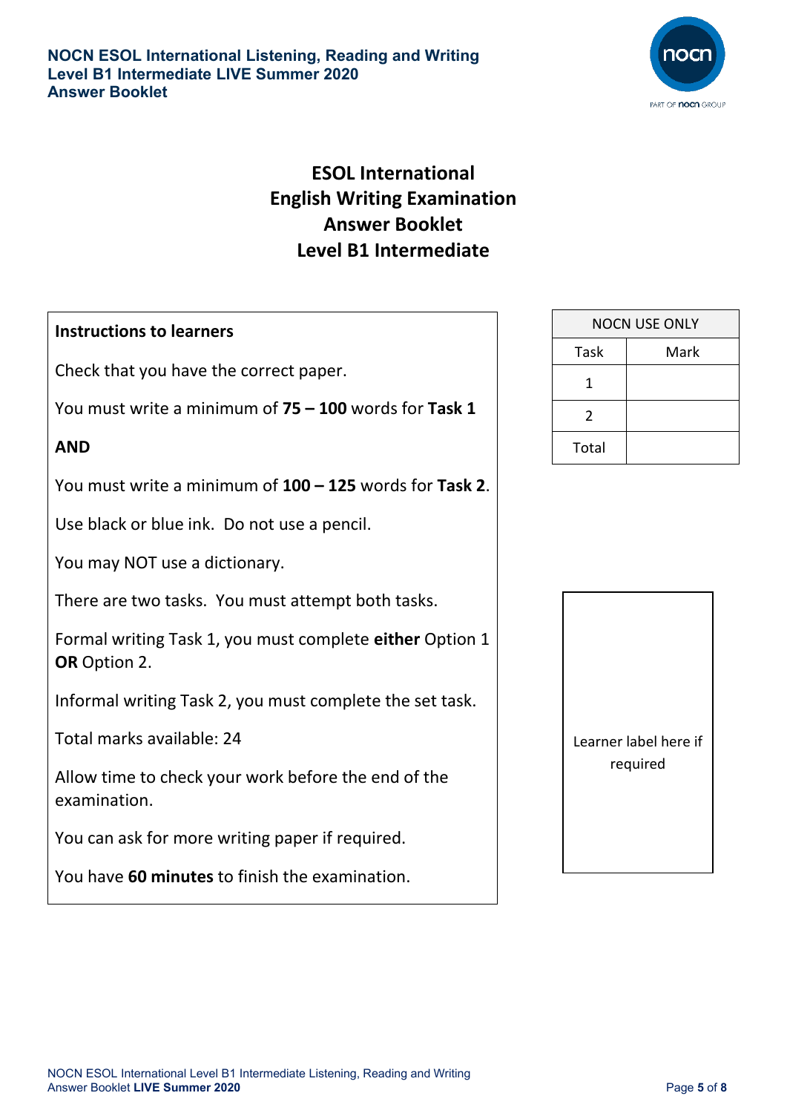

# **ESOL International English Writing Examination Answer Booklet Level B1 Intermediate**

# **Instructions to learners** Check that you have the correct paper. You must write a minimum of **75 – 100** words for **Task 1 AND** You must write a minimum of **100 – 125** words for **Task 2**. Use black or blue ink. Do not use a pencil. You may NOT use a dictionary. There are two tasks. You must attempt both tasks. Formal writing Task 1, you must complete **either** Option 1 **OR** Option 2. Informal writing Task 2, you must complete the set task. Total marks available: 24 Allow time to check your work before the end of the examination. You can ask for more writing paper if required. You have **60 minutes** to finish the examination.

| <b>NOCN USE ONLY</b> |      |  |  |  |
|----------------------|------|--|--|--|
| Task                 | Mark |  |  |  |
| 1                    |      |  |  |  |
| 2                    |      |  |  |  |
| Total                |      |  |  |  |

Learner label here if required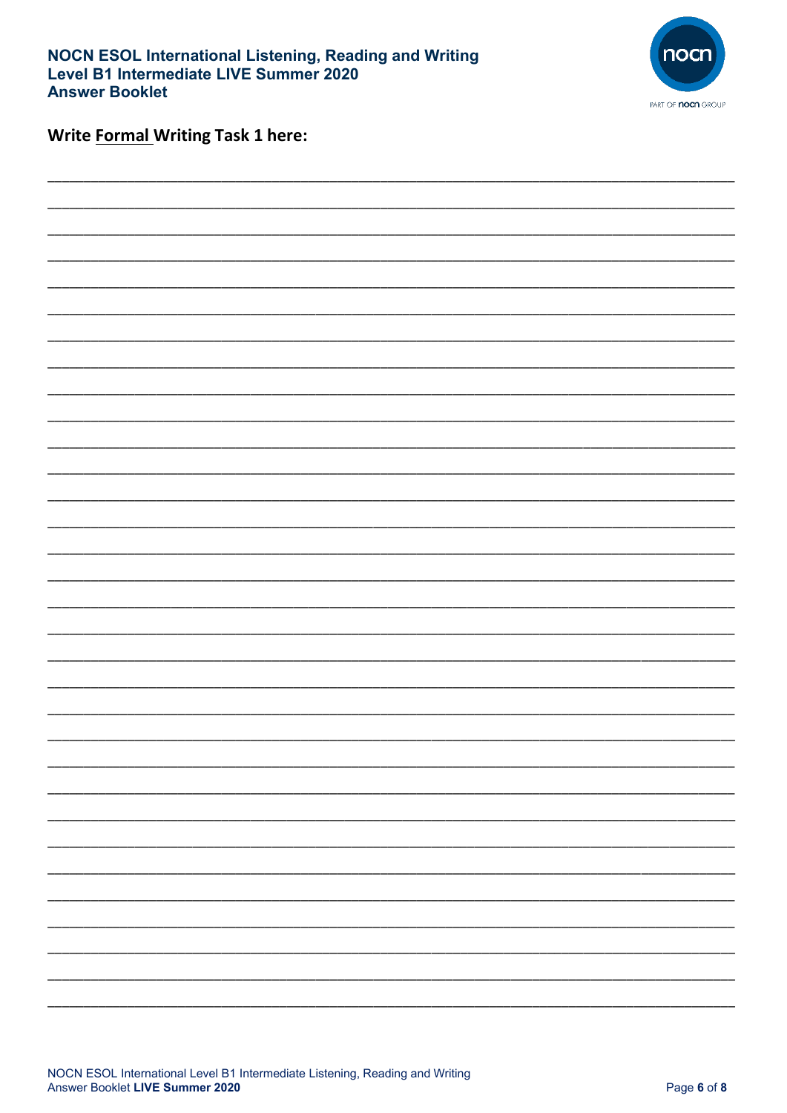

### **Write Formal Writing Task 1 here:**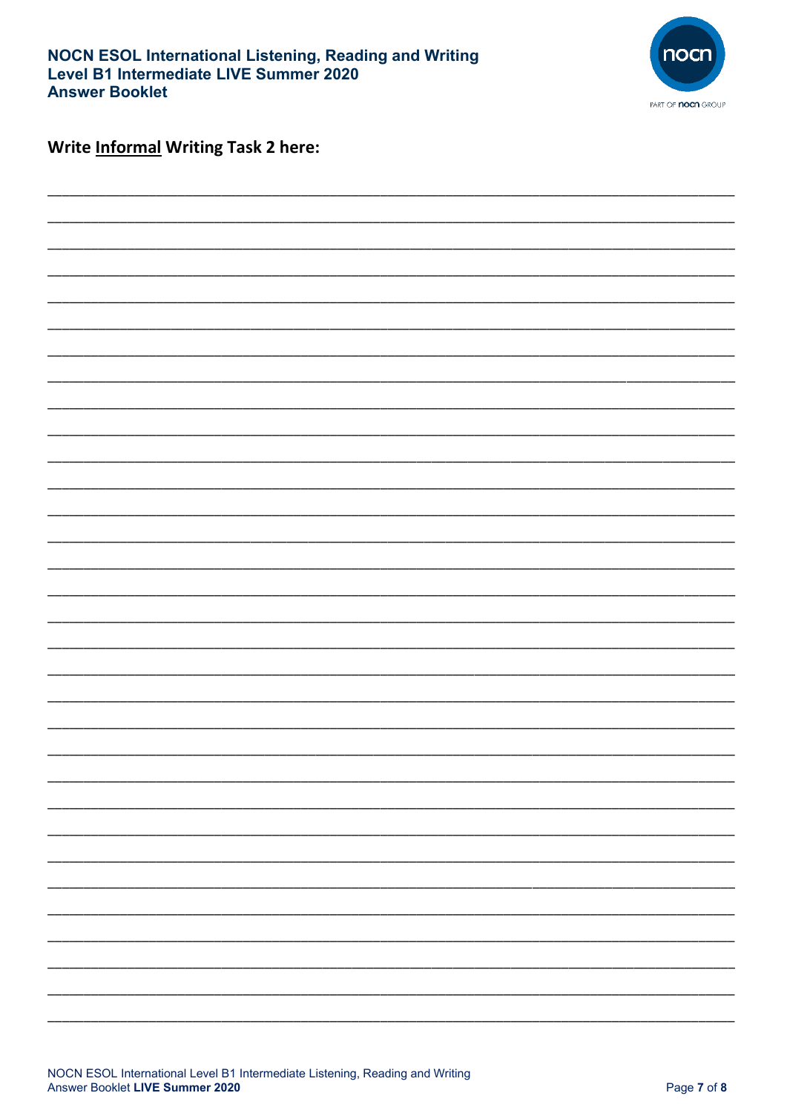

**Write Informal Writing Task 2 here:**